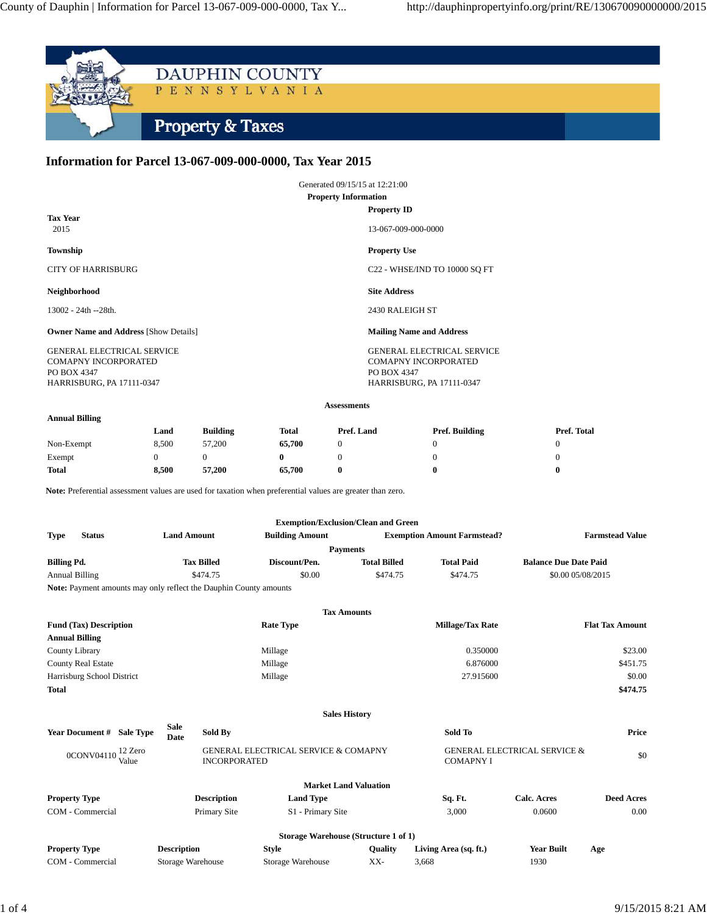

# **Information for Parcel 13-067-009-000-0000, Tax Year 2015**

|                                                                                                              | Generated 09/15/15 at 12:21:00                                                                        |  |  |
|--------------------------------------------------------------------------------------------------------------|-------------------------------------------------------------------------------------------------------|--|--|
| <b>Property Information</b>                                                                                  |                                                                                                       |  |  |
| <b>Tax Year</b><br>2015                                                                                      | <b>Property ID</b><br>13-067-009-000-0000                                                             |  |  |
| Township                                                                                                     | <b>Property Use</b>                                                                                   |  |  |
| <b>CITY OF HARRISBURG</b>                                                                                    | C22 - WHSE/IND TO 10000 SQ FT                                                                         |  |  |
| Neighborhood                                                                                                 | <b>Site Address</b>                                                                                   |  |  |
| $13002 - 24th - 28th$ .                                                                                      | 2430 RALEIGH ST                                                                                       |  |  |
| <b>Owner Name and Address [Show Details]</b>                                                                 | <b>Mailing Name and Address</b>                                                                       |  |  |
| <b>GENERAL ELECTRICAL SERVICE</b><br><b>COMAPNY INCORPORATED</b><br>PO BOX 4347<br>HARRISBURG, PA 17111-0347 | <b>GENERAL ELECTRICAL SERVICE</b><br>COMAPNY INCORPORATED<br>PO BOX 4347<br>HARRISBURG, PA 17111-0347 |  |  |

#### **Assessments**

### **Annual Billing**

| Land  | <b>Building</b> | Total | Pref. Land       |  | Pref. Total    |  |
|-------|-----------------|-------|------------------|--|----------------|--|
| 8.500 | 57,200          |       |                  |  |                |  |
|       |                 |       |                  |  |                |  |
| 8.500 | 57,200          |       |                  |  |                |  |
|       |                 |       | 65,700<br>65,700 |  | Pref. Building |  |

Note: Preferential assessment values are used for taxation when preferential values are greater than zero.

| <b>Exemption/Exclusion/Clean and Green</b> |  |                                                                          |                        |                                    |                   |                              |
|--------------------------------------------|--|--------------------------------------------------------------------------|------------------------|------------------------------------|-------------------|------------------------------|
| <b>Type</b><br><b>Status</b>               |  | <b>Land Amount</b>                                                       | <b>Building Amount</b> | <b>Exemption Amount Farmstead?</b> |                   | <b>Farmstead Value</b>       |
| <b>Payments</b>                            |  |                                                                          |                        |                                    |                   |                              |
| <b>Billing Pd.</b>                         |  | <b>Tax Billed</b>                                                        | Discount/Pen.          | <b>Total Billed</b>                | <b>Total Paid</b> | <b>Balance Due Date Paid</b> |
| <b>Annual Billing</b>                      |  | \$474.75                                                                 | \$0.00                 | \$474.75                           | \$474.75          | \$0.00 05/08/2015            |
|                                            |  | <b>Note:</b> Payment amounts may only reflect the Dauphin County amounts |                        |                                    |                   |                              |

**Tax Amounts Fund (Tax) Description Rate Type Millage/Tax Rate Flat Tax Amount Annual Billing** County Library Millage 0.350000 \$23.00 County Real Estate 6.876000 \$451.75 Harrisburg School District 6 6.000 \$0.00 \$0.00 \$0.00 \$0.00 \$0.00 \$0.00 \$0.00 \$0.00 \$0.00 \$1.00 \$1.00 \$1.00 \$1.00 \$1.00 \$1.00 \$1.00 \$1.00 \$1.00 \$1.00 \$1.00 \$1.00 \$1.00 \$1.00 \$1.00 \$1.00 \$1.00 \$1.00 \$1.00 \$1.00 \$1.00 \$1.00 \$ **Total \$474.75 Sales History Year Document # Sale Type Sale Date Sold By Sold To Price** 0CONV04110<sup>12</sup> Zero<br>Value GENERAL ELECTRICAL SERVICE & COMAPNY INCORPORATED GENERAL ELECTRICAL SERVICE & COMAPNY I  $\frac{1}{20}$ **Market Land Valuation Property Type Description Land Type Sq. Ft. Calc. Acres Deed Acres** COM - Commercial Primary Site S1 - Primary Site 3,000 0.0600 0.00 0.00

| Storage Warehouse (Structure 1 of 1) |                    |                   |         |                       |            |     |
|--------------------------------------|--------------------|-------------------|---------|-----------------------|------------|-----|
| <b>Property Type</b>                 | <b>Description</b> | Style             | Oualitv | Living Area (sq. ft.) | Year Built | Age |
| COM - Commercial                     | Storage Warehouse  | Storage Warehouse | XX-     | 3.668                 | 1930       |     |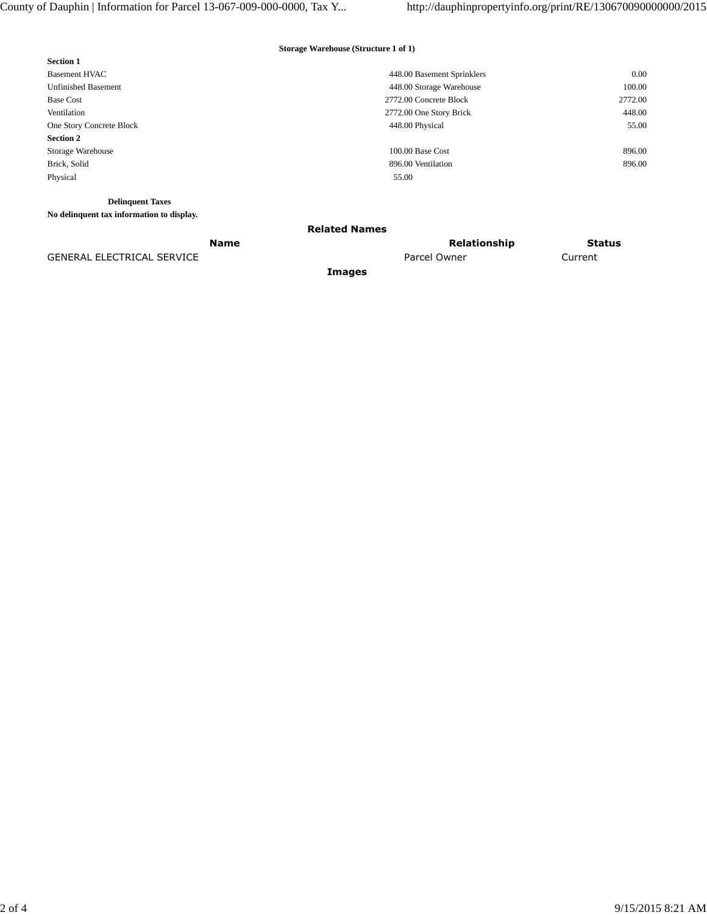## **Storage Warehouse (Structure 1 of 1)**

| <b>Section 1</b>                          |                            |         |
|-------------------------------------------|----------------------------|---------|
| <b>Basement HVAC</b>                      | 448.00 Basement Sprinklers | 0.00    |
| <b>Unfinished Basement</b>                | 448.00 Storage Warehouse   | 100.00  |
| <b>Base Cost</b>                          | 2772.00 Concrete Block     | 2772.00 |
| Ventilation                               | 2772.00 One Story Brick    | 448.00  |
| One Story Concrete Block                  | 448.00 Physical            | 55.00   |
| <b>Section 2</b>                          |                            |         |
| Storage Warehouse                         | 100.00 Base Cost           | 896.00  |
| Brick, Solid                              | 896.00 Ventilation         | 896.00  |
| Physical                                  | 55.00                      |         |
|                                           |                            |         |
| <b>Delinquent Taxes</b>                   |                            |         |
| No delinquent tax information to display. |                            |         |
|                                           |                            |         |

### **Related Names**

**Images**

**Name** Status **Relationship** Status GENERAL ELECTRICAL SERVICE **A CULL A CULL A CULL A CULL A CULL A CULL A** Parcel Owner Current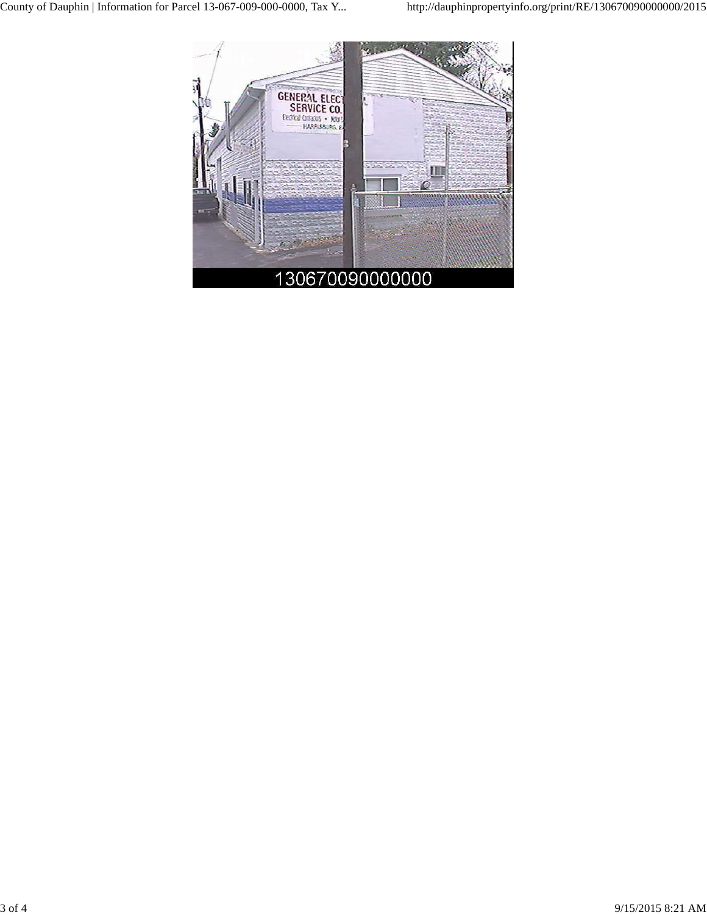